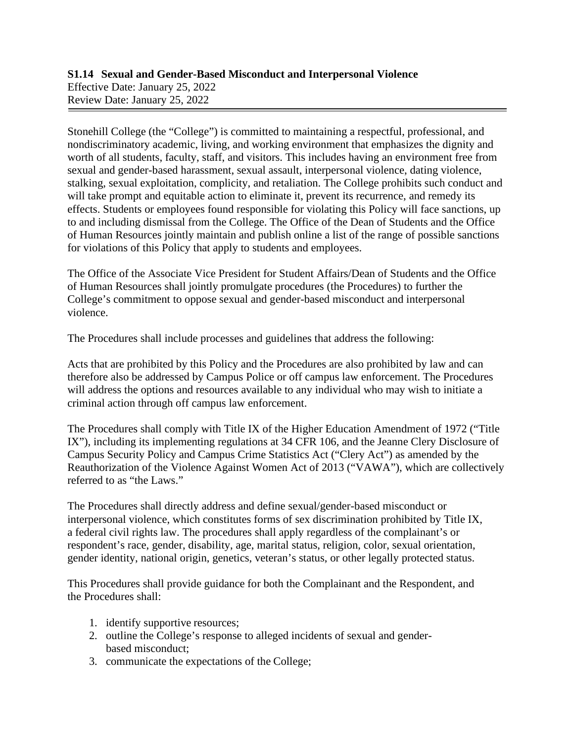## **S1.14 Sexual and Gender-Based Misconduct and Interpersonal Violence** Effective Date: January 25, 2022 Review Date: January 25, 2022

Stonehill College (the "College") is committed to maintaining a respectful, professional, and nondiscriminatory academic, living, and working environment that emphasizes the dignity and worth of all students, faculty, staff, and visitors. This includes having an environment free from sexual and gender-based harassment, sexual assault, interpersonal violence, dating violence, stalking, sexual exploitation, complicity, and retaliation. The College prohibits such conduct and will take prompt and equitable action to eliminate it, prevent its recurrence, and remedy its effects. Students or employees found responsible for violating this Policy will face sanctions, up to and including dismissal from the College. The Office of the Dean of Students and the Office of Human Resources jointly maintain and publish online a list of the range of possible sanctions for violations of this Policy that apply to students and employees.

The Office of the Associate Vice President for Student Affairs/Dean of Students and the Office of Human Resources shall jointly promulgate procedures (the Procedures) to further the College's commitment to oppose sexual and gender-based misconduct and interpersonal violence.

The Procedures shall include processes and guidelines that address the following:

Acts that are prohibited by this Policy and the Procedures are also prohibited by law and can therefore also be addressed by Campus Police or off campus law enforcement. The Procedures will address the options and resources available to any individual who may wish to initiate a criminal action through off campus law enforcement.

The Procedures shall comply with Title IX of the Higher Education Amendment of 1972 ("Title IX"), including its implementing regulations at 34 CFR 106, and the Jeanne Clery Disclosure of Campus Security Policy and Campus Crime Statistics Act ("Clery Act") as amended by the Reauthorization of the Violence Against Women Act of 2013 ("VAWA"), which are collectively referred to as "the Laws."

The Procedures shall directly address and define sexual/gender-based misconduct or interpersonal violence, which constitutes forms of sex discrimination prohibited by Title IX, a federal civil rights law. The procedures shall apply regardless of the complainant's or respondent's race, gender, disability, age, marital status, religion, color, sexual orientation, gender identity, national origin, genetics, veteran's status, or other legally protected status.

This Procedures shall provide guidance for both the Complainant and the Respondent, and the Procedures shall:

- 1. identify supportive resources;
- 2. outline the College's response to alleged incidents of sexual and genderbased misconduct;
- 3. communicate the expectations of the College;